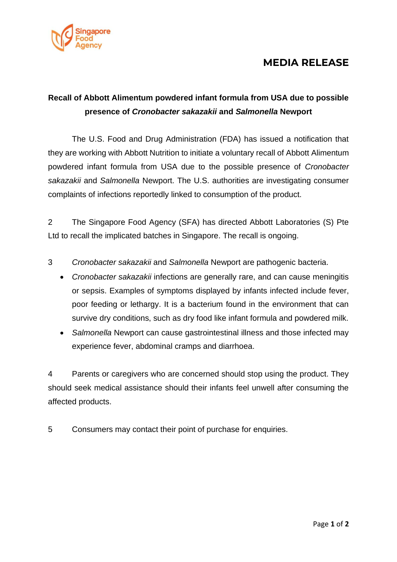

## **MEDIA RELEASE**

# **Recall of Abbott Alimentum powdered infant formula from USA due to possible presence of** *Cronobacter sakazakii* **and** *Salmonella* **Newport**

The U.S. Food and Drug Administration (FDA) has issued a notification that they are working with Abbott Nutrition to initiate a voluntary recall of Abbott Alimentum powdered infant formula from USA due to the possible presence of *Cronobacter sakazakii* and *Salmonella* Newport. The U.S. authorities are investigating consumer complaints of infections reportedly linked to consumption of the product.

2 The Singapore Food Agency (SFA) has directed Abbott Laboratories (S) Pte Ltd to recall the implicated batches in Singapore. The recall is ongoing.

3 *Cronobacter sakazakii* and *Salmonella* Newport are pathogenic bacteria.

- *Cronobacter sakazakii* infections are generally rare, and can cause meningitis or sepsis. Examples of symptoms displayed by infants infected include fever, poor feeding or lethargy. It is a bacterium found in the environment that can survive dry conditions, such as dry food like infant formula and powdered milk.
- *Salmonella* Newport can cause gastrointestinal illness and those infected may experience fever, abdominal cramps and diarrhoea.

4 Parents or caregivers who are concerned should stop using the product. They should seek medical assistance should their infants feel unwell after consuming the affected products.

5 Consumers may contact their point of purchase for enquiries.